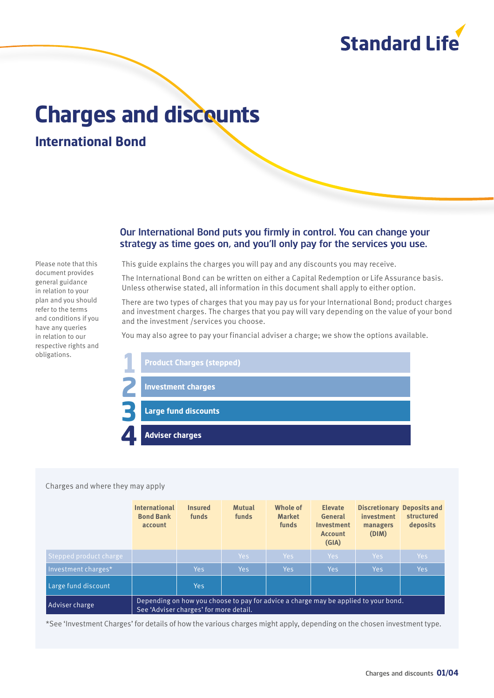

# **Charges and discounts**

**International Bond**

# Our International Bond puts you firmly in control. You can change your strategy as time goes on, and you'll only pay for the services you use.

Please note that this document provides general guidance in relation to your plan and you should refer to the terms and conditions if you have any queries in relation to our respective rights and obligations.

This guide explains the charges you will pay and any discounts you may receive.

The International Bond can be written on either a Capital Redemption or Life Assurance basis. Unless otherwise stated, all information in this document shall apply to either option.

There are two types of charges that you may pay us for your International Bond; product charges and investment charges. The charges that you pay will vary depending on the value of your bond and the investment /services you choose.

You may also agree to pay your financial adviser a charge; we show the options available.



#### Charges and where they may apply

|                        | <b>International</b><br><b>Bond Bank</b><br>account                                                                           | <b>Insured</b><br>funds | <b>Mutual</b><br>funds | Whole of<br><b>Market</b><br>funds | <b>Elevate</b><br>General<br><b>Investment</b><br><b>Account</b><br>(GIA) | investment<br>managers<br>(DIM) | <b>Discretionary Deposits and</b><br>structured<br>deposits |
|------------------------|-------------------------------------------------------------------------------------------------------------------------------|-------------------------|------------------------|------------------------------------|---------------------------------------------------------------------------|---------------------------------|-------------------------------------------------------------|
| Stepped product charge |                                                                                                                               |                         | Yes                    | Yes:                               | Yes                                                                       | Yes                             | Yes                                                         |
| Investment charges*    |                                                                                                                               | Yes                     | <b>Yes</b>             | Yes:                               | Yes                                                                       | Yes                             | <b>Yes</b>                                                  |
| Large fund discount    |                                                                                                                               | <b>Yes</b>              |                        |                                    |                                                                           |                                 |                                                             |
| Adviser charge         | Depending on how you choose to pay for advice a charge may be applied to your bond.<br>See 'Adviser charges' for more detail. |                         |                        |                                    |                                                                           |                                 |                                                             |

\*See 'Investment Charges' for details of how the various charges might apply, depending on the chosen investment type.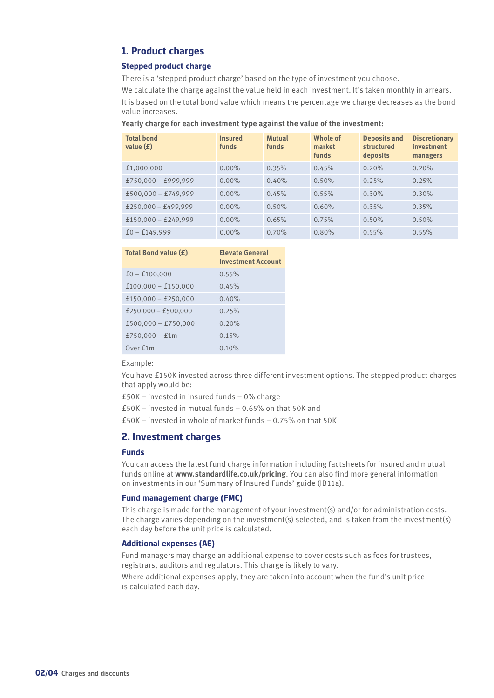# **1. Product charges**

## **Stepped product charge**

There is a 'stepped product charge' based on the type of investment you choose.

We calculate the charge against the value held in each investment. It's taken monthly in arrears. It is based on the total bond value which means the percentage we charge decreases as the bond value increases.

**Yearly charge for each investment type against the value of the investment:**

| <b>Total bond</b><br>value $(f)$ | <b>Insured</b><br>funds | <b>Mutual</b><br>funds | Whole of<br>market<br>funds | <b>Deposits and</b><br>structured<br>deposits | <b>Discretionary</b><br>investment<br>managers |
|----------------------------------|-------------------------|------------------------|-----------------------------|-----------------------------------------------|------------------------------------------------|
| £1,000,000                       | $0.00\%$                | 0.35%                  | 0.45%                       | 0.20%                                         | 0.20%                                          |
| $£750,000 - £999,999$            | $0.00\%$                | 0.40%                  | 0.50%                       | 0.25%                                         | 0.25%                                          |
| $£500,000 - £749,999$            | $0.00\%$                | 0.45%                  | 0.55%                       | 0.30%                                         | 0.30%                                          |
| £250,000 - £499,999              | $0.00\%$                | 0.50%                  | 0.60%                       | 0.35%                                         | 0.35%                                          |
| $£150,000 - £249,999$            | $0.00\%$                | 0.65%                  | 0.75%                       | 0.50%                                         | 0.50%                                          |
| $f0 - f149.999$                  | $0.00\%$                | 0.70%                  | 0.80%                       | 0.55%                                         | 0.55%                                          |

| Total Bond value (£)  | <b>Elevate General</b><br><b>Investment Account</b> |
|-----------------------|-----------------------------------------------------|
| $f0 - f100,000$       | 0.55%                                               |
| $£100,000 - £150,000$ | 0.45%                                               |
| $£150,000 - £250,000$ | 0.40%                                               |
| £250,000 - £500,000   | 0.25%                                               |
| $£500,000 - £750,000$ | 0.20%                                               |
| £750,000 $-$ £1m      | 0.15%                                               |
| Over £1m              | 0.10%                                               |

Example:

You have £150K invested across three different investment options. The stepped product charges that apply would be:

£50K – invested in insured funds – 0% charge

£50K – invested in mutual funds – 0.65% on that 50K and

£50K – invested in whole of market funds – 0.75% on that 50K

# **2. Investment charges**

# **Funds**

You can access the latest fund charge information including factsheets for insured and mutual funds online at **www.standardlife.co.uk/pricing**. You can also find more general information on investments in our 'Summary of Insured Funds' guide (IB11a).

#### **Fund management charge (FMC)**

This charge is made for the management of your investment(s) and/or for administration costs. The charge varies depending on the investment(s) selected, and is taken from the investment(s) each day before the unit price is calculated.

## **Additional expenses (AE)**

Fund managers may charge an additional expense to cover costs such as fees for trustees, registrars, auditors and regulators. This charge is likely to vary.

Where additional expenses apply, they are taken into account when the fund's unit price is calculated each day.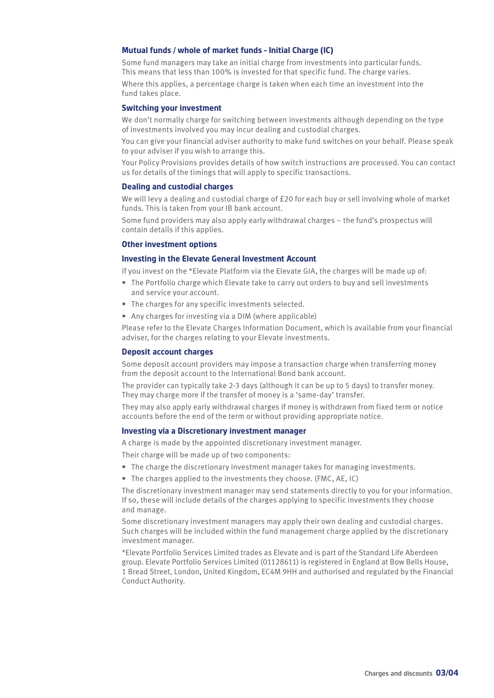## **Mutual funds / whole of market funds – Initial Charge (IC)**

Some fund managers may take an initial charge from investments into particular funds. This means that less than 100% is invested for that specific fund. The charge varies.

Where this applies, a percentage charge is taken when each time an investment into the fund takes place.

#### **Switching your investment**

We don't normally charge for switching between investments although depending on the type of investments involved you may incur dealing and custodial charges.

You can give your financial adviser authority to make fund switches on your behalf. Please speak to your adviser if you wish to arrange this.

Your Policy Provisions provides details of how switch instructions are processed. You can contact us for details of the timings that will apply to specific transactions.

# **Dealing and custodial charges**

We will levy a dealing and custodial charge of £20 for each buy or sell involving whole of market funds. This is taken from your IB bank account.

Some fund providers may also apply early withdrawal charges – the fund's prospectus will contain details if this applies.

# **Other investment options**

#### **Investing in the Elevate General Investment Account**

If you invest on the \*Elevate Platform via the Elevate GIA, the charges will be made up of:

- The Portfolio charge which Elevate take to carry out orders to buy and sell investments and service your account.
- The charges for any specific investments selected.
- Any charges for investing via a DIM (where applicable)

Please refer to the Elevate Charges Information Document, which is available from your financial adviser, for the charges relating to your Elevate investments.

## **Deposit account charges**

Some deposit account providers may impose a transaction charge when transferring money from the deposit account to the International Bond bank account.

The provider can typically take 2‑3 days (although it can be up to 5 days) to transfer money. They may charge more if the transfer of money is a 'same-day' transfer.

They may also apply early withdrawal charges if money is withdrawn from fixed term or notice accounts before the end of the term or without providing appropriate notice.

#### **Investing via a Discretionary investment manager**

A charge is made by the appointed discretionary investment manager.

Their charge will be made up of two components:

- The charge the discretionary investment manager takes for managing investments.
- The charges applied to the investments they choose. (FMC, AE, IC)

The discretionary investment manager may send statements directly to you for your information. If so, these will include details of the charges applying to specific investments they choose and manage.

Some discretionary investment managers may apply their own dealing and custodial charges. Such charges will be included within the fund management charge applied by the discretionary investment manager.

\*Elevate Portfolio Services Limited trades as Elevate and is part of the Standard Life Aberdeen group. Elevate Portfolio Services Limited (01128611) is registered in England at Bow Bells House, 1 Bread Street, London, United Kingdom, EC4M 9HH and authorised and regulated by the Financial Conduct Authority.